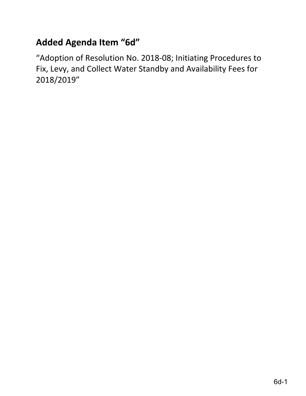# **Added Agenda Item "6d"**

"Adoption of Resolution No. 2018-08; Initiating Procedures to Fix, Levy, and Collect Water Standby and Availability Fees for 2018/2019"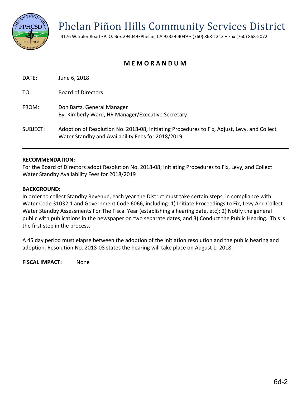Phelan Piñon Hills Community Services District

4176 Warbler Road •P. O. Box 294049•Phelan, CA 92329-4049 • (760) 868-1212 • Fax (760) 868-5072

## **M E M O R A N D U M**

DATE: June 6, 2018

TO: Board of Directors

- FROM: Don Bartz, General Manager By: Kimberly Ward, HR Manager/Executive Secretary
- SUBJECT: Adoption of Resolution No. 2018-08; Initiating Procedures to Fix, Adjust, Levy, and Collect Water Standby and Availability Fees for 2018/2019

#### **RECOMMENDATION:**

For the Board of Directors adopt Resolution No. 2018-08; Initiating Procedures to Fix, Levy, and Collect Water Standby Availability Fees for 2018/2019

#### **BACKGROUND:**

In order to collect Standby Revenue, each year the District must take certain steps, in compliance with Water Code 31032.1 and Government Code 6066, including: 1) Initiate Proceedings to Fix, Levy And Collect Water Standby Assessments For The Fiscal Year (establishing a hearing date, etc); 2) Notify the general public with publications in the newspaper on two separate dates, and 3) Conduct the Public Hearing. This is the first step in the process.

A 45 day period must elapse between the adoption of the initiation resolution and the public hearing and adoption. Resolution No. 2018-08 states the hearing will take place on August 1, 2018.

**FISCAL IMPACT:** None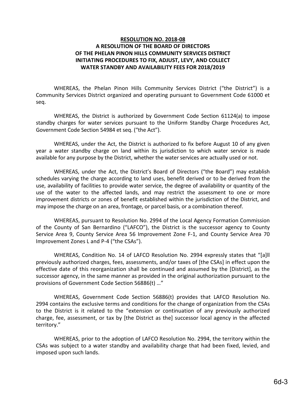### **RESOLUTION NO. 2018-08 A RESOLUTION OF THE BOARD OF DIRECTORS OF THE PHELAN PINON HILLS COMMUNITY SERVICES DISTRICT INITIATING PROCEDURES TO FIX, ADJUST, LEVY, AND COLLECT WATER STANDBY AND AVAILABILITY FEES FOR 2018/2019**

WHEREAS, the Phelan Pinon Hills Community Services District ("the District") is a Community Services District organized and operating pursuant to Government Code 61000 et seq.

WHEREAS, the District is authorized by Government Code Section 61124(a) to impose standby charges for water services pursuant to the Uniform Standby Charge Procedures Act, Government Code Section 54984 et seq. ("the Act").

WHEREAS, under the Act, the District is authorized to fix before August 10 of any given year a water standby charge on land within its jurisdiction to which water service is made available for any purpose by the District, whether the water services are actually used or not.

WHEREAS, under the Act, the District's Board of Directors ("the Board") may establish schedules varying the charge according to land uses, benefit derived or to be derived from the use, availability of facilities to provide water service, the degree of availability or quantity of the use of the water to the affected lands, and may restrict the assessment to one or more improvement districts or zones of benefit established within the jurisdiction of the District, and may impose the charge on an area, frontage, or parcel basis, or a combination thereof.

WHEREAS, pursuant to Resolution No. 2994 of the Local Agency Formation Commission of the County of San Bernardino ("LAFCO"), the District is the successor agency to County Service Area 9, County Service Area 56 Improvement Zone F-1, and County Service Area 70 Improvement Zones L and P-4 ("the CSAs").

WHEREAS, Condition No. 14 of LAFCO Resolution No. 2994 expressly states that "[a]ll previously authorized charges, fees, assessments, and/or taxes of [the CSAs] in effect upon the effective date of this reorganization shall be continued and assumed by the [District], as the successor agency, in the same manner as provided in the original authorization pursuant to the provisions of Government Code Section 56886(t) …"

WHEREAS, Government Code Section 56886(t) provides that LAFCO Resolution No. 2994 contains the exclusive terms and conditions for the change of organization from the CSAs to the District is it related to the "extension or continuation of any previously authorized charge, fee, assessment, or tax by [the District as the] successor local agency in the affected territory."

WHEREAS, prior to the adoption of LAFCO Resolution No. 2994, the territory within the CSAs was subject to a water standby and availability charge that had been fixed, levied, and imposed upon such lands.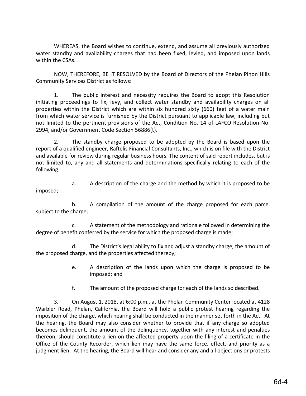WHEREAS, the Board wishes to continue, extend, and assume all previously authorized water standby and availability charges that had been fixed, levied, and imposed upon lands within the CSAs.

NOW, THEREFORE, BE IT RESOLVED by the Board of Directors of the Phelan Pinon Hills Community Services District as follows:

1. The public interest and necessity requires the Board to adopt this Resolution initiating proceedings to fix, levy, and collect water standby and availability charges on all properties within the District which are within six hundred sixty (660) feet of a water main from which water service is furnished by the District pursuant to applicable law, including but not limited to the pertinent provisions of the Act, Condition No. 14 of LAFCO Resolution No. 2994, and/or Government Code Section 56886(t).

2. The standby charge proposed to be adopted by the Board is based upon the report of a qualified engineer, Raftelis Financial Consultants, Inc., which is on file with the District and available for review during regular business hours. The content of said report includes, but is not limited to, any and all statements and determinations specifically relating to each of the following:

a. A description of the charge and the method by which it is proposed to be imposed;

b. A compilation of the amount of the charge proposed for each parcel subject to the charge;

c. A statement of the methodology and rationale followed in determining the degree of benefit conferred by the service for which the proposed charge is made;

d. The District's legal ability to fix and adjust a standby charge, the amount of the proposed charge, and the properties affected thereby;

- e. A description of the lands upon which the charge is proposed to be imposed; and
- f. The amount of the proposed charge for each of the lands so described.

3. On August 1, 2018, at 6:00 p.m., at the Phelan Community Center located at 4128 Warbler Road, Phelan, California, the Board will hold a public protest hearing regarding the imposition of the charge, which hearing shall be conducted in the manner set forth in the Act. At the hearing, the Board may also consider whether to provide that if any charge so adopted becomes delinquent, the amount of the delinquency, together with any interest and penalties thereon, should constitute a lien on the affected property upon the filing of a certificate in the Office of the County Recorder, which lien may have the same force, effect, and priority as a judgment lien. At the hearing, the Board will hear and consider any and all objections or protests